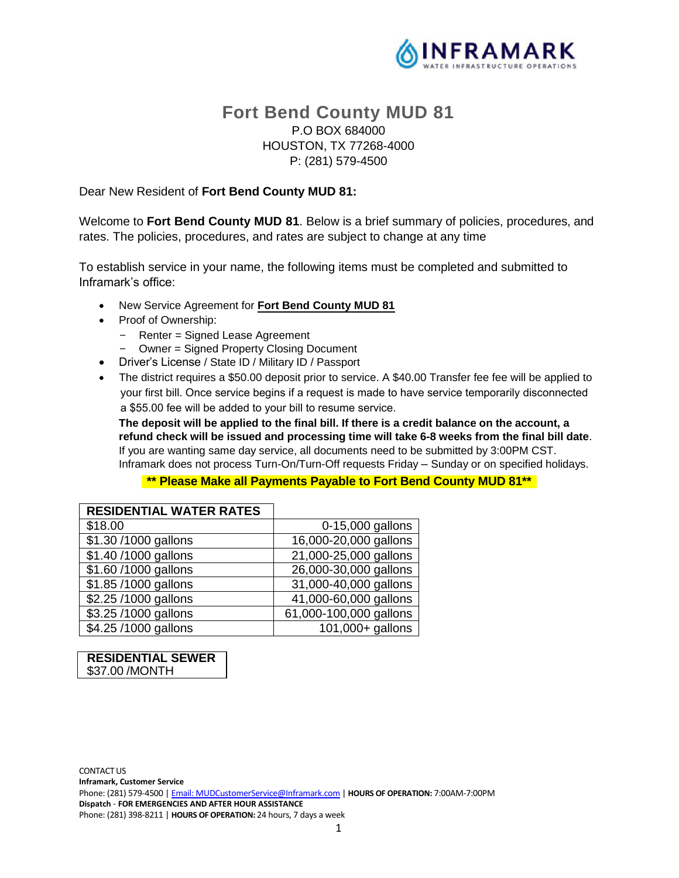

# **Fort Bend County MUD 81** P.O BOX 684000 HOUSTON, TX 77268-4000 P: (281) 579-4500

### Dear New Resident of **Fort Bend County MUD 81:**

Welcome to **Fort Bend County MUD 81**. Below is a brief summary of policies, procedures, and rates. The policies, procedures, and rates are subject to change at any time

To establish service in your name, the following items must be completed and submitted to Inframark's office:

- New Service Agreement for **Fort Bend County MUD 81**
- Proof of Ownership:
	- Renter = Signed Lease Agreement
- Owner = Signed Property Closing Document
- Driver's License / State ID / Military ID / Passport
- The district requires a \$50.00 deposit prior to service. A \$40.00 Transfer fee fee will be applied to your first bill. Once service begins if a request is made to have service temporarily disconnected a \$55.00 fee will be added to your bill to resume service.

**The deposit will be applied to the final bill. If there is a credit balance on the account, a refund check will be issued and processing time will take 6-8 weeks from the final bill date**. If you are wanting same day service, all documents need to be submitted by 3:00PM CST. Inframark does not process Turn-On/Turn-Off requests Friday – Sunday or on specified holidays.

## **\*\* Please Make all Payments Payable to Fort Bend County MUD 81\*\***

| <b>RESIDENTIAL WATER RATES</b> |                               |
|--------------------------------|-------------------------------|
| \$18.00                        | 0-15,000 gallons              |
| \$1.30/1000 gallons            | 16,000-20,000 gallons         |
| \$1.40/1000 gallons            | 21,000-25,000 gallons         |
| \$1.60/1000 gallons            | 26,000-30,000 gallons         |
| \$1.85/1000 gallons            | 31,000-40,000 gallons         |
| \$2.25/1000 gallons            | 41,000-60,000 gallons         |
| \$3.25/1000 gallons            | 61,000-100,000 gallons        |
| \$4.25/1000 gallons            | $\overline{101,000+}$ gallons |

#### **RESIDENTIAL SEWER** \$37.00 /MONTH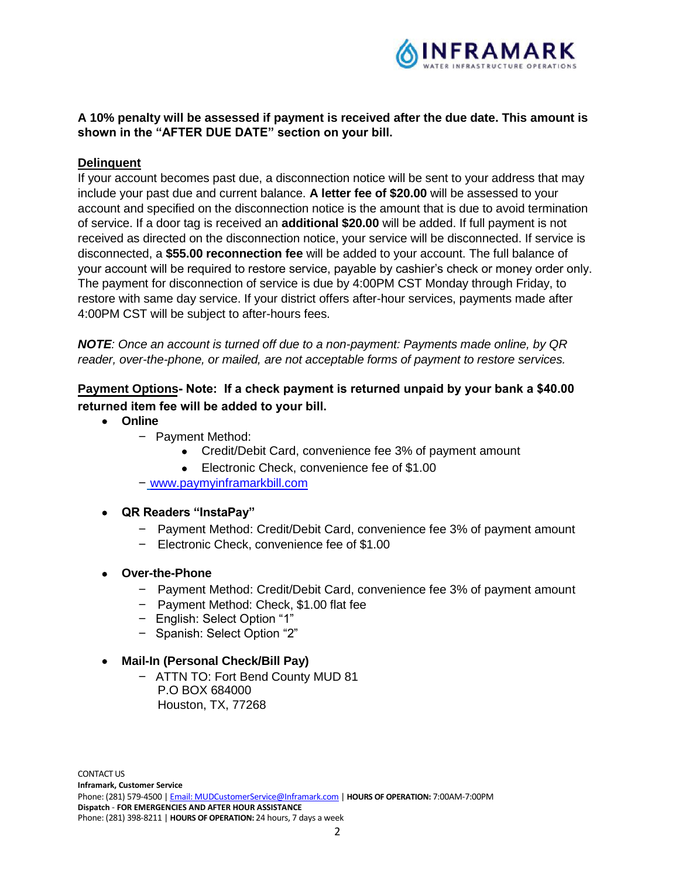

## **A 10% penalty will be assessed if payment is received after the due date. This amount is shown in the "AFTER DUE DATE" section on your bill.**

### **Delinquent**

If your account becomes past due, a disconnection notice will be sent to your address that may include your past due and current balance. **A letter fee of \$20.00** will be assessed to your account and specified on the disconnection notice is the amount that is due to avoid termination of service. If a door tag is received an **additional \$20.00** will be added. If full payment is not received as directed on the disconnection notice, your service will be disconnected. If service is disconnected, a **\$55.00 reconnection fee** will be added to your account. The full balance of your account will be required to restore service, payable by cashier's check or money order only. The payment for disconnection of service is due by 4:00PM CST Monday through Friday, to restore with same day service. If your district offers after-hour services, payments made after 4:00PM CST will be subject to after-hours fees.

*NOTE: Once an account is turned off due to a non-payment: Payments made online, by QR reader, over-the-phone, or mailed, are not acceptable forms of payment to restore services.*

## **Payment Options Note: If a check payment is returned unpaid by your bank a \$40.00 returned item fee will be added to your bill.**

- **Online**
	- Payment Method:
		- Credit/Debit Card, convenience fee 3% of payment amount
		- Electronic Check, convenience fee of \$1,00
	- www.paymyinframarkbill.com

### **QR Readers "InstaPay"**

- Payment Method: Credit/Debit Card, convenience fee 3% of payment amount
- Electronic Check, convenience fee of \$1.00
- **Over-the-Phone**
	- Payment Method: Credit/Debit Card, convenience fee 3% of payment amount
	- Payment Method: Check, \$1.00 flat fee
	- English: Select Option "1"
	- Spanish: Select Option "2"
- **Mail-In (Personal Check/Bill Pay)**
	- ATTN TO: Fort Bend County MUD 81 P.O BOX 684000 Houston, TX, 77268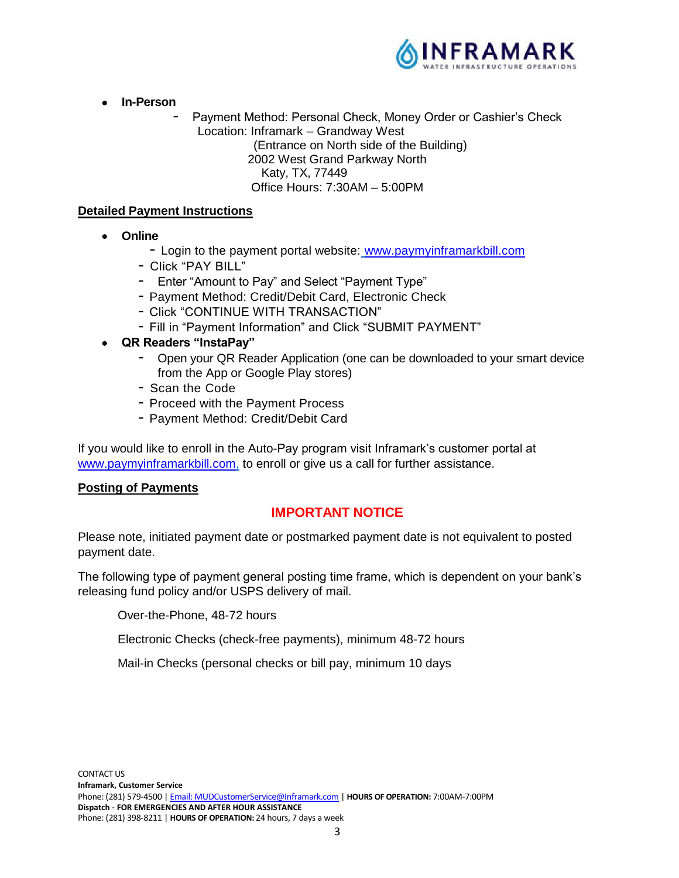

- **In-Person**
	- Payment Method: Personal Check, Money Order or Cashier's Check Location: Inframark – Grandway West (Entrance on North side of the Building) 2002 West Grand Parkway North Katy, TX, 77449 Office Hours: 7:30AM – 5:00PM

### **Detailed Payment Instructions**

- **Online**
	- Login to the payment portal website: www.paymyinframarkbill.com
	- Click "PAY BILL"
	- Enter "Amount to Pay" and Select "Payment Type"
	- Payment Method: Credit/Debit Card, Electronic Check
	- Click "CONTINUE WITH TRANSACTION"
	- Fill in "Payment Information" and Click "SUBMIT PAYMENT"
- **QR Readers "InstaPay"**
	- Open your QR Reader Application (one can be downloaded to your smart device from the App or Google Play stores)
	- Scan the Code
	- Proceed with the Payment Process
	- Payment Method: Credit/Debit Card

If you would like to enroll in the Auto-Pay program visit Inframark's customer portal at www.paymyinframarkbill.com, to enroll or give us a call for further assistance.

### **Posting of Payments**

## **IMPORTANT NOTICE**

Please note, initiated payment date or postmarked payment date is not equivalent to posted payment date.

The following type of payment general posting time frame, which is dependent on your bank's releasing fund policy and/or USPS delivery of mail.

Over-the-Phone, 48-72 hours

Electronic Checks (check-free payments), minimum 48-72 hours

Mail-in Checks (personal checks or bill pay, minimum 10 days